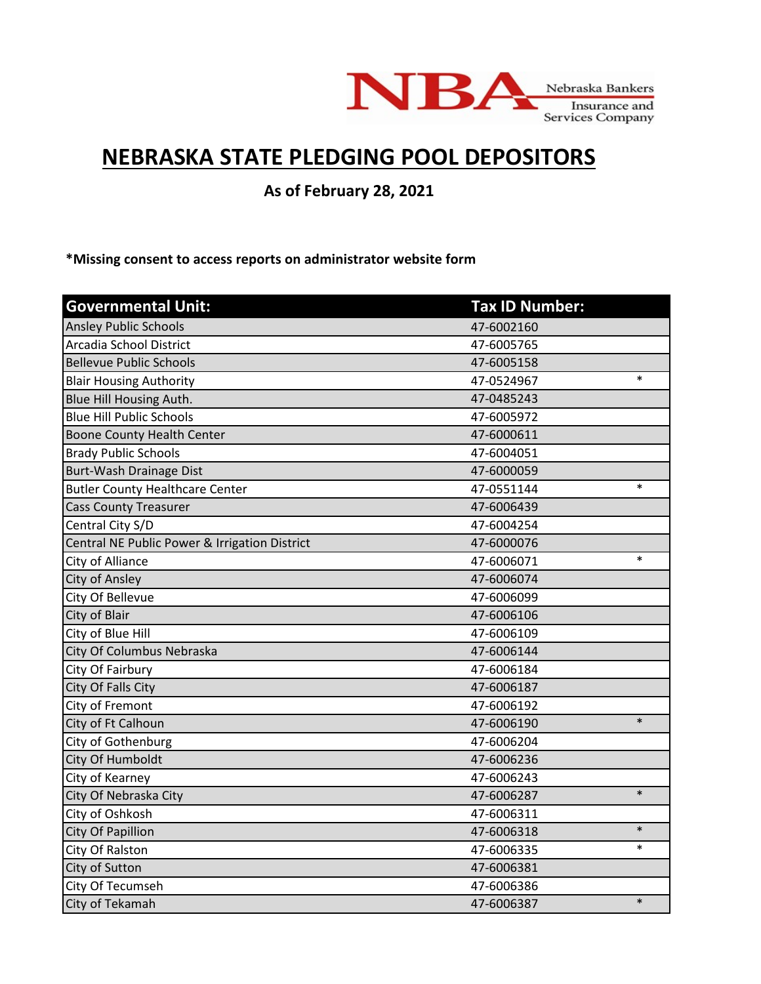

## **NEBRASKA STATE PLEDGING POOL DEPOSITORS**

**As of February 28, 2021**

**\*Missing consent to access reports on administrator website form**

| <b>Governmental Unit:</b>                     | <b>Tax ID Number:</b> |        |
|-----------------------------------------------|-----------------------|--------|
| <b>Ansley Public Schools</b>                  | 47-6002160            |        |
| Arcadia School District                       | 47-6005765            |        |
| <b>Bellevue Public Schools</b>                | 47-6005158            |        |
| <b>Blair Housing Authority</b>                | 47-0524967            | $\ast$ |
| Blue Hill Housing Auth.                       | 47-0485243            |        |
| <b>Blue Hill Public Schools</b>               | 47-6005972            |        |
| <b>Boone County Health Center</b>             | 47-6000611            |        |
| <b>Brady Public Schools</b>                   | 47-6004051            |        |
| Burt-Wash Drainage Dist                       | 47-6000059            |        |
| <b>Butler County Healthcare Center</b>        | 47-0551144            | $\ast$ |
| <b>Cass County Treasurer</b>                  | 47-6006439            |        |
| Central City S/D                              | 47-6004254            |        |
| Central NE Public Power & Irrigation District | 47-6000076            |        |
| City of Alliance                              | 47-6006071            | $\ast$ |
| City of Ansley                                | 47-6006074            |        |
| City Of Bellevue                              | 47-6006099            |        |
| City of Blair                                 | 47-6006106            |        |
| City of Blue Hill                             | 47-6006109            |        |
| City Of Columbus Nebraska                     | 47-6006144            |        |
| City Of Fairbury                              | 47-6006184            |        |
| City Of Falls City                            | 47-6006187            |        |
| City of Fremont                               | 47-6006192            |        |
| City of Ft Calhoun                            | 47-6006190            | $\ast$ |
| City of Gothenburg                            | 47-6006204            |        |
| City Of Humboldt                              | 47-6006236            |        |
| City of Kearney                               | 47-6006243            |        |
| City Of Nebraska City                         | 47-6006287            | $\ast$ |
| City of Oshkosh                               | 47-6006311            |        |
| City Of Papillion                             | 47-6006318            | $\ast$ |
| City Of Ralston                               | 47-6006335            | $\ast$ |
| City of Sutton                                | 47-6006381            |        |
| City Of Tecumseh                              | 47-6006386            |        |
| City of Tekamah                               | 47-6006387            | $\ast$ |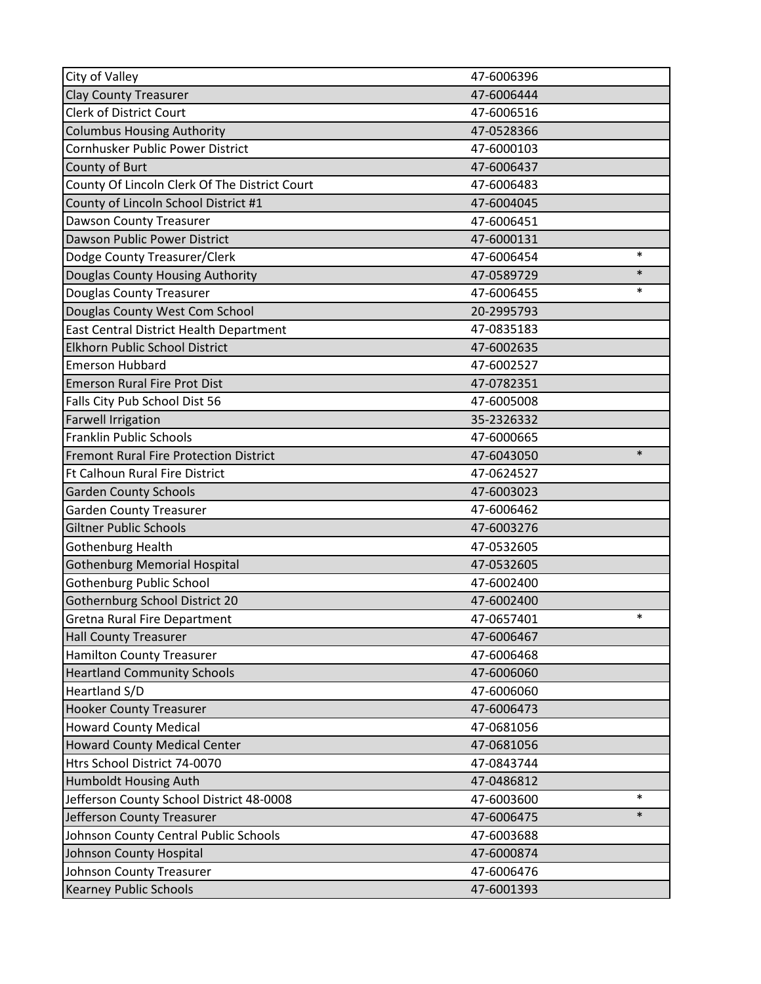| City of Valley                                | 47-6006396 |        |
|-----------------------------------------------|------------|--------|
| <b>Clay County Treasurer</b>                  | 47-6006444 |        |
| <b>Clerk of District Court</b>                | 47-6006516 |        |
| <b>Columbus Housing Authority</b>             | 47-0528366 |        |
| Cornhusker Public Power District              | 47-6000103 |        |
| County of Burt                                | 47-6006437 |        |
| County Of Lincoln Clerk Of The District Court | 47-6006483 |        |
| County of Lincoln School District #1          | 47-6004045 |        |
| <b>Dawson County Treasurer</b>                | 47-6006451 |        |
| Dawson Public Power District                  | 47-6000131 |        |
| Dodge County Treasurer/Clerk                  | 47-6006454 | $\ast$ |
| Douglas County Housing Authority              | 47-0589729 | $\ast$ |
| <b>Douglas County Treasurer</b>               | 47-6006455 | *      |
| Douglas County West Com School                | 20-2995793 |        |
| East Central District Health Department       | 47-0835183 |        |
| Elkhorn Public School District                | 47-6002635 |        |
| <b>Emerson Hubbard</b>                        | 47-6002527 |        |
| <b>Emerson Rural Fire Prot Dist</b>           | 47-0782351 |        |
| Falls City Pub School Dist 56                 | 47-6005008 |        |
| <b>Farwell Irrigation</b>                     | 35-2326332 |        |
| Franklin Public Schools                       | 47-6000665 |        |
| <b>Fremont Rural Fire Protection District</b> | 47-6043050 | $\ast$ |
| <b>Ft Calhoun Rural Fire District</b>         | 47-0624527 |        |
| <b>Garden County Schools</b>                  | 47-6003023 |        |
| <b>Garden County Treasurer</b>                | 47-6006462 |        |
| <b>Giltner Public Schools</b>                 | 47-6003276 |        |
| Gothenburg Health                             | 47-0532605 |        |
| Gothenburg Memorial Hospital                  | 47-0532605 |        |
| <b>Gothenburg Public School</b>               | 47-6002400 |        |
| Gothernburg School District 20                | 47-6002400 |        |
| <b>Gretna Rural Fire Department</b>           | 47-0657401 | $\ast$ |
| <b>Hall County Treasurer</b>                  | 47-6006467 |        |
| <b>Hamilton County Treasurer</b>              | 47-6006468 |        |
| <b>Heartland Community Schools</b>            | 47-6006060 |        |
| Heartland S/D                                 | 47-6006060 |        |
| <b>Hooker County Treasurer</b>                | 47-6006473 |        |
| <b>Howard County Medical</b>                  | 47-0681056 |        |
| <b>Howard County Medical Center</b>           | 47-0681056 |        |
| Htrs School District 74-0070                  | 47-0843744 |        |
| Humboldt Housing Auth                         | 47-0486812 |        |
| Jefferson County School District 48-0008      | 47-6003600 | $\ast$ |
| Jefferson County Treasurer                    | 47-6006475 | $\ast$ |
| Johnson County Central Public Schools         | 47-6003688 |        |
| Johnson County Hospital                       | 47-6000874 |        |
| Johnson County Treasurer                      | 47-6006476 |        |
| <b>Kearney Public Schools</b>                 | 47-6001393 |        |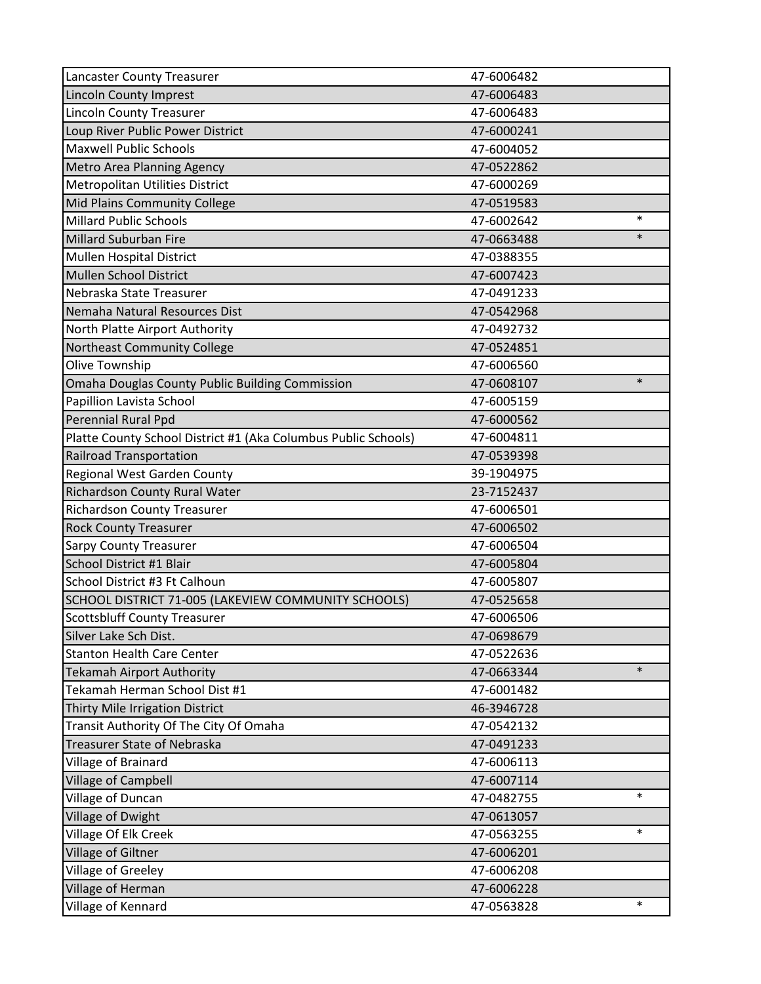| <b>Lancaster County Treasurer</b>                              | 47-6006482 |        |
|----------------------------------------------------------------|------------|--------|
| <b>Lincoln County Imprest</b>                                  | 47-6006483 |        |
| <b>Lincoln County Treasurer</b>                                | 47-6006483 |        |
| Loup River Public Power District                               | 47-6000241 |        |
| <b>Maxwell Public Schools</b>                                  | 47-6004052 |        |
| <b>Metro Area Planning Agency</b>                              | 47-0522862 |        |
| <b>Metropolitan Utilities District</b>                         | 47-6000269 |        |
| Mid Plains Community College                                   | 47-0519583 |        |
| <b>Millard Public Schools</b>                                  | 47-6002642 | $\ast$ |
| Millard Suburban Fire                                          | 47-0663488 | $\ast$ |
| <b>Mullen Hospital District</b>                                | 47-0388355 |        |
| Mullen School District                                         | 47-6007423 |        |
| Nebraska State Treasurer                                       | 47-0491233 |        |
| Nemaha Natural Resources Dist                                  | 47-0542968 |        |
| North Platte Airport Authority                                 | 47-0492732 |        |
| Northeast Community College                                    | 47-0524851 |        |
| Olive Township                                                 | 47-6006560 |        |
| Omaha Douglas County Public Building Commission                | 47-0608107 | $\ast$ |
| Papillion Lavista School                                       | 47-6005159 |        |
| Perennial Rural Ppd                                            | 47-6000562 |        |
| Platte County School District #1 (Aka Columbus Public Schools) | 47-6004811 |        |
| <b>Railroad Transportation</b>                                 | 47-0539398 |        |
| Regional West Garden County                                    | 39-1904975 |        |
| Richardson County Rural Water                                  | 23-7152437 |        |
| <b>Richardson County Treasurer</b>                             | 47-6006501 |        |
| <b>Rock County Treasurer</b>                                   | 47-6006502 |        |
| <b>Sarpy County Treasurer</b>                                  | 47-6006504 |        |
| School District #1 Blair                                       | 47-6005804 |        |
| School District #3 Ft Calhoun                                  | 47-6005807 |        |
| SCHOOL DISTRICT 71-005 (LAKEVIEW COMMUNITY SCHOOLS)            | 47-0525658 |        |
| <b>Scottsbluff County Treasurer</b>                            | 47-6006506 |        |
| Silver Lake Sch Dist.                                          | 47-0698679 |        |
| <b>Stanton Health Care Center</b>                              | 47-0522636 |        |
| <b>Tekamah Airport Authority</b>                               | 47-0663344 | $\ast$ |
| Tekamah Herman School Dist #1                                  | 47-6001482 |        |
| Thirty Mile Irrigation District                                | 46-3946728 |        |
| Transit Authority Of The City Of Omaha                         | 47-0542132 |        |
| Treasurer State of Nebraska                                    | 47-0491233 |        |
| Village of Brainard                                            | 47-6006113 |        |
| <b>Village of Campbell</b>                                     | 47-6007114 |        |
| Village of Duncan                                              | 47-0482755 | $\ast$ |
| Village of Dwight                                              | 47-0613057 |        |
| Village Of Elk Creek                                           | 47-0563255 | $\ast$ |
| Village of Giltner                                             | 47-6006201 |        |
| Village of Greeley                                             | 47-6006208 |        |
| Village of Herman                                              | 47-6006228 |        |
| Village of Kennard                                             | 47-0563828 | $\ast$ |